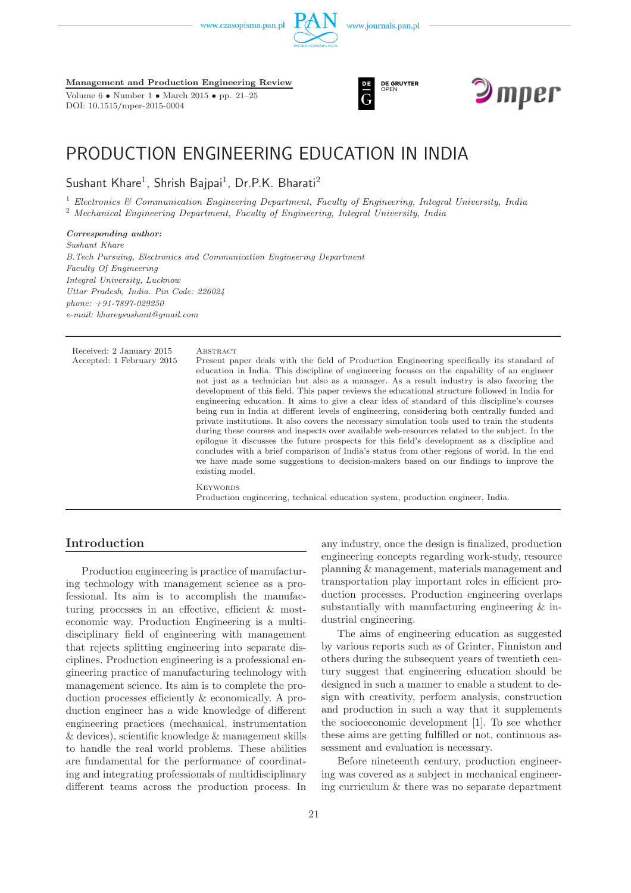www.czasopisma.pan.pl





**Management and Production Engineering Review**

Volume 6 • Number 1 • March 2015 • pp. 21–25 DOI: 10.1515/mper-2015-0004





# PRODUCTION ENGINEERING EDUCATION IN INDIA

 $S$ ushant Khare $^1$ , Shrish Bajpai $^1$ , Dr.P.K. Bharati $^2$ 

<sup>1</sup> *Electronics & Communication Engineering Department, Faculty of Engineering, Integral University, India* <sup>2</sup> *Mechanical Engineering Department, Faculty of Engineering, Integral University, India*

#### *Corresponding author:*

*Sushant Khare B.Tech Pursuing, Electronics and Communication Engineering Department Faculty Of Engineering Integral University, Lucknow Uttar Pradesh, India. Pin Code: 226024 phone: +91-7897-029250 e-mail: khareysushant@gmail.com*

Received: 2 January 2015 ABSTRACT<br>Accepted: 1 February 2015 Present p.

Present paper deals with the field of Production Engineering specifically its standard of education in India. This discipline of engineering focuses on the capability of an engineer not just as a technician but also as a manager. As a result industry is also favoring the development of this field. This paper reviews the educational structure followed in India for engineering education. It aims to give a clear idea of standard of this discipline's courses being run in India at different levels of engineering, considering both centrally funded and private institutions. It also covers the necessary simulation tools used to train the students during these courses and inspects over available web-resources related to the subject. In the epilogue it discusses the future prospects for this field's development as a discipline and concludes with a brief comparison of India's status from other regions of world. In the end we have made some suggestions to decision-makers based on our findings to improve the existing model.

**KEYWORDS** Production engineering, technical education system, production engineer, India.

# **Introduction**

Production engineering is practice of manufacturing technology with management science as a professional. Its aim is to accomplish the manufacturing processes in an effective, efficient & mosteconomic way. Production Engineering is a multidisciplinary field of engineering with management that rejects splitting engineering into separate disciplines. Production engineering is a professional engineering practice of manufacturing technology with management science. Its aim is to complete the production processes efficiently & economically. A production engineer has a wide knowledge of different engineering practices (mechanical, instrumentation & devices), scientific knowledge & management skills to handle the real world problems. These abilities are fundamental for the performance of coordinating and integrating professionals of multidisciplinary different teams across the production process. In

any industry, once the design is finalized, production engineering concepts regarding work-study, resource planning & management, materials management and transportation play important roles in efficient production processes. Production engineering overlaps substantially with manufacturing engineering & industrial engineering.

The aims of engineering education as suggested by various reports such as of Grinter, Finniston and others during the subsequent years of twentieth century suggest that engineering education should be designed in such a manner to enable a student to design with creativity, perform analysis, construction and production in such a way that it supplements the socioeconomic development [1]. To see whether these aims are getting fulfilled or not, continuous assessment and evaluation is necessary.

Before nineteenth century, production engineering was covered as a subject in mechanical engineering curriculum & there was no separate department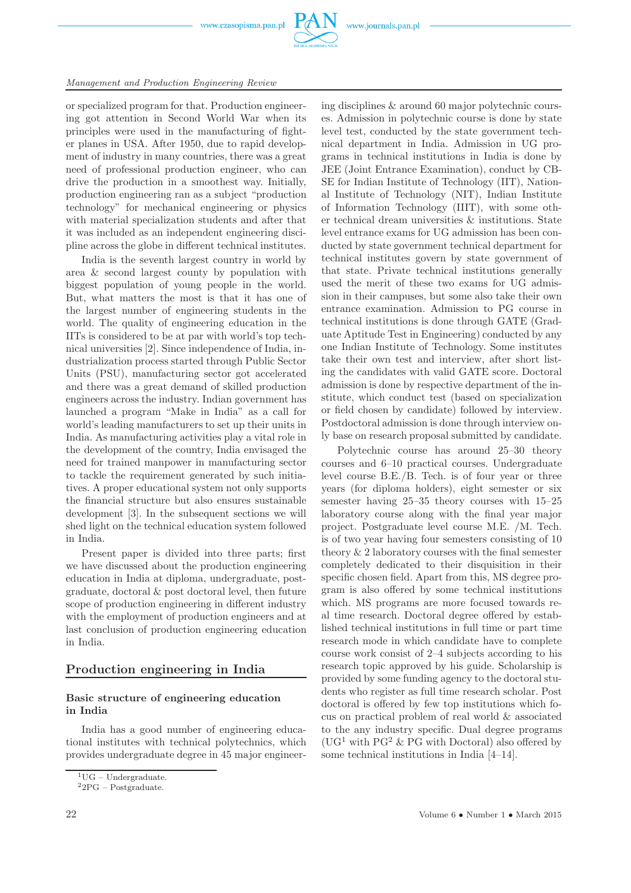

#### *Management and Production Engineering Review*

or specialized program for that. Production engineering got attention in Second World War when its principles were used in the manufacturing of fighter planes in USA. After 1950, due to rapid development of industry in many countries, there was a great need of professional production engineer, who can drive the production in a smoothest way. Initially, production engineering ran as a subject "production technology" for mechanical engineering or physics with material specialization students and after that it was included as an independent engineering discipline across the globe in different technical institutes.

India is the seventh largest country in world by area & second largest county by population with biggest population of young people in the world. But, what matters the most is that it has one of the largest number of engineering students in the world. The quality of engineering education in the IITs is considered to be at par with world's top technical universities [2]. Since independence of India, industrialization process started through Public Sector Units (PSU), manufacturing sector got accelerated and there was a great demand of skilled production engineers across the industry. Indian government has launched a program "Make in India" as a call for world's leading manufacturers to set up their units in India. As manufacturing activities play a vital role in the development of the country, India envisaged the need for trained manpower in manufacturing sector to tackle the requirement generated by such initiatives. A proper educational system not only supports the financial structure but also ensures sustainable development [3]. In the subsequent sections we will shed light on the technical education system followed in India.

Present paper is divided into three parts; first we have discussed about the production engineering education in India at diploma, undergraduate, postgraduate, doctoral & post doctoral level, then future scope of production engineering in different industry with the employment of production engineers and at last conclusion of production engineering education in India.

# **Production engineering in India**

### **Basic structure of engineering education in India**

India has a good number of engineering educational institutes with technical polytechnics, which provides undergraduate degree in 45 major engineer-

ing disciplines & around 60 major polytechnic courses. Admission in polytechnic course is done by state level test, conducted by the state government technical department in India. Admission in UG programs in technical institutions in India is done by JEE (Joint Entrance Examination), conduct by CB-SE for Indian Institute of Technology (IIT), National Institute of Technology (NIT), Indian Institute of Information Technology (IIIT), with some other technical dream universities & institutions. State level entrance exams for UG admission has been conducted by state government technical department for technical institutes govern by state government of that state. Private technical institutions generally used the merit of these two exams for UG admission in their campuses, but some also take their own entrance examination. Admission to PG course in technical institutions is done through GATE (Graduate Aptitude Test in Engineering) conducted by any one Indian Institute of Technology. Some institutes take their own test and interview, after short listing the candidates with valid GATE score. Doctoral admission is done by respective department of the institute, which conduct test (based on specialization or field chosen by candidate) followed by interview. Postdoctoral admission is done through interview only base on research proposal submitted by candidate.

Polytechnic course has around 25–30 theory courses and 6–10 practical courses. Undergraduate level course B.E./B. Tech. is of four year or three years (for diploma holders), eight semester or six semester having 25–35 theory courses with 15–25 laboratory course along with the final year major project. Postgraduate level course M.E. /M. Tech. is of two year having four semesters consisting of 10 theory & 2 laboratory courses with the final semester completely dedicated to their disquisition in their specific chosen field. Apart from this, MS degree program is also offered by some technical institutions which. MS programs are more focused towards real time research. Doctoral degree offered by established technical institutions in full time or part time research mode in which candidate have to complete course work consist of 2–4 subjects according to his research topic approved by his guide. Scholarship is provided by some funding agency to the doctoral students who register as full time research scholar. Post doctoral is offered by few top institutions which focus on practical problem of real world & associated to the any industry specific. Dual degree programs  $(UG<sup>1</sup>$  with PG<sup>2</sup> & PG with Doctoral) also offered by some technical institutions in India [4–14].

 $1$ UG – Undergraduate.

 $\rm{^22PG}$  – Postgraduate.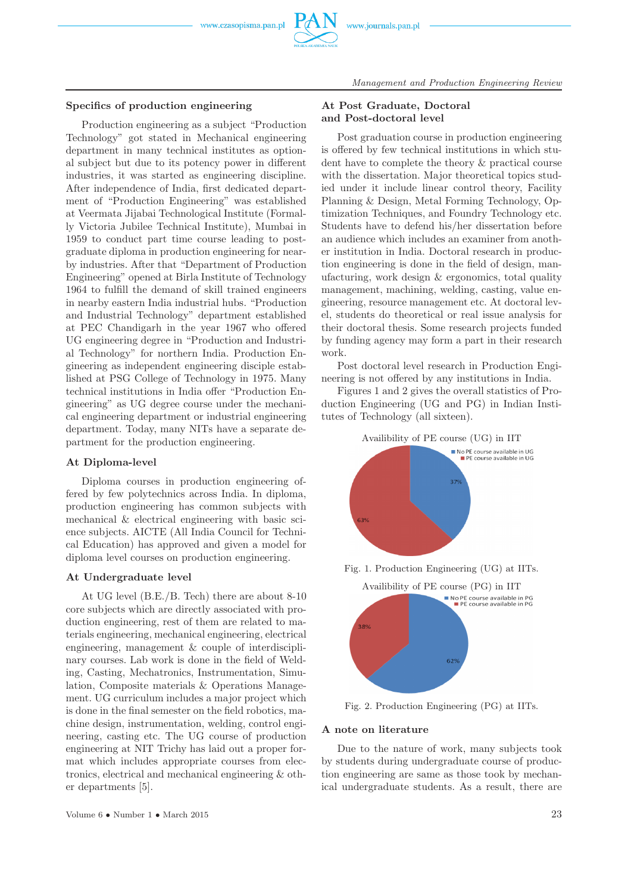# **Specifics of production engineering**

Production engineering as a subject "Production Technology" got stated in Mechanical engineering department in many technical institutes as optional subject but due to its potency power in different industries, it was started as engineering discipline. After independence of India, first dedicated department of "Production Engineering" was established at Veermata Jijabai Technological Institute (Formally Victoria Jubilee Technical Institute), Mumbai in 1959 to conduct part time course leading to postgraduate diploma in production engineering for nearby industries. After that "Department of Production Engineering" opened at Birla Institute of Technology 1964 to fulfill the demand of skill trained engineers in nearby eastern India industrial hubs. "Production and Industrial Technology" department established at PEC Chandigarh in the year 1967 who offered UG engineering degree in "Production and Industrial Technology" for northern India. Production Engineering as independent engineering disciple established at PSG College of Technology in 1975. Many technical institutions in India offer "Production Engineering" as UG degree course under the mechanical engineering department or industrial engineering department. Today, many NITs have a separate department for the production engineering.

#### **At Diploma-level**

Diploma courses in production engineering offered by few polytechnics across India. In diploma, production engineering has common subjects with mechanical & electrical engineering with basic science subjects. AICTE (All India Council for Technical Education) has approved and given a model for diploma level courses on production engineering.

#### **At Undergraduate level**

At UG level (B.E./B. Tech) there are about 8-10 core subjects which are directly associated with production engineering, rest of them are related to materials engineering, mechanical engineering, electrical engineering, management & couple of interdisciplinary courses. Lab work is done in the field of Welding, Casting, Mechatronics, Instrumentation, Simulation, Composite materials & Operations Management. UG curriculum includes a major project which is done in the final semester on the field robotics, machine design, instrumentation, welding, control engineering, casting etc. The UG course of production engineering at NIT Trichy has laid out a proper format which includes appropriate courses from electronics, electrical and mechanical engineering & other departments [5].

Post graduation course in production engineering is offered by few technical institutions in which student have to complete the theory & practical course with the dissertation. Major theoretical topics studied under it include linear control theory, Facility Planning & Design, Metal Forming Technology, Optimization Techniques, and Foundry Technology etc. Students have to defend his/her dissertation before an audience which includes an examiner from another institution in India. Doctoral research in production engineering is done in the field of design, manufacturing, work design & ergonomics, total quality management, machining, welding, casting, value engineering, resource management etc. At doctoral level, students do theoretical or real issue analysis for their doctoral thesis. Some research projects funded by funding agency may form a part in their research work.

Post doctoral level research in Production Engineering is not offered by any institutions in India.

Figures 1 and 2 gives the overall statistics of Production Engineering (UG and PG) in Indian Institutes of Technology (all sixteen).



Fig. 2. Production Engineering (PG) at IITs.

### **A note on literature**

Due to the nature of work, many subjects took by students during undergraduate course of production engineering are same as those took by mechanical undergraduate students. As a result, there are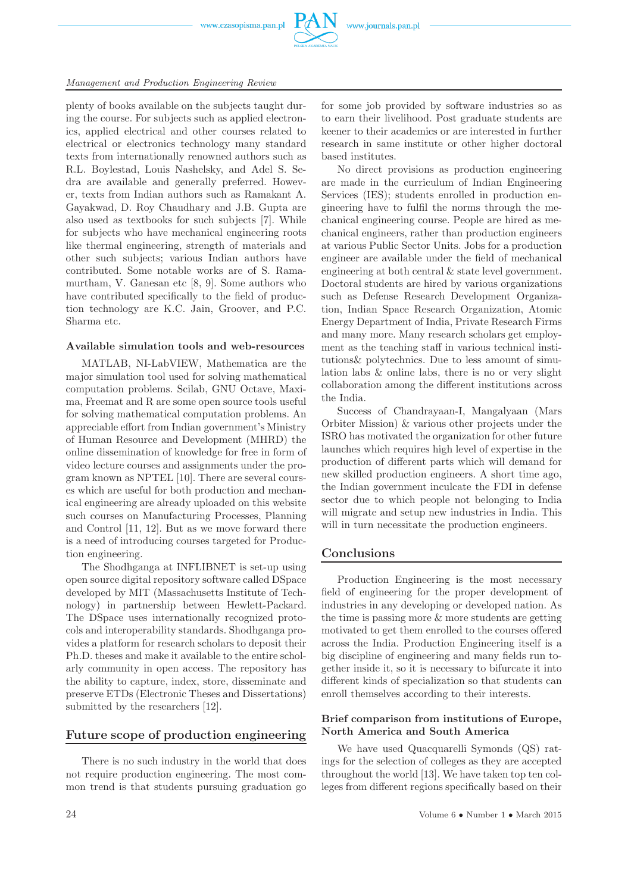www.czasopisma.pan.pl



#### *Management and Production Engineering Review*

plenty of books available on the subjects taught during the course. For subjects such as applied electronics, applied electrical and other courses related to electrical or electronics technology many standard texts from internationally renowned authors such as R.L. Boylestad, Louis Nashelsky, and Adel S. Sedra are available and generally preferred. However, texts from Indian authors such as Ramakant A. Gayakwad, D. Roy Chaudhary and J.B. Gupta are also used as textbooks for such subjects [7]. While for subjects who have mechanical engineering roots like thermal engineering, strength of materials and other such subjects; various Indian authors have contributed. Some notable works are of S. Ramamurtham, V. Ganesan etc [8, 9]. Some authors who have contributed specifically to the field of production technology are K.C. Jain, Groover, and P.C. Sharma etc.

#### **Available simulation tools and web-resources**

MATLAB, NI-LabVIEW, Mathematica are the major simulation tool used for solving mathematical computation problems. Scilab, GNU Octave, Maxima, Freemat and R are some open source tools useful for solving mathematical computation problems. An appreciable effort from Indian government's Ministry of Human Resource and Development (MHRD) the online dissemination of knowledge for free in form of video lecture courses and assignments under the program known as NPTEL [10]. There are several courses which are useful for both production and mechanical engineering are already uploaded on this website such courses on Manufacturing Processes, Planning and Control [11, 12]. But as we move forward there is a need of introducing courses targeted for Production engineering.

The Shodhganga at INFLIBNET is set-up using open source digital repository software called DSpace developed by MIT (Massachusetts Institute of Technology) in partnership between Hewlett-Packard. The DSpace uses internationally recognized protocols and interoperability standards. Shodhganga provides a platform for research scholars to deposit their Ph.D. theses and make it available to the entire scholarly community in open access. The repository has the ability to capture, index, store, disseminate and preserve ETDs (Electronic Theses and Dissertations) submitted by the researchers [12].

# **Future scope of production engineering**

There is no such industry in the world that does not require production engineering. The most common trend is that students pursuing graduation go

for some job provided by software industries so as to earn their livelihood. Post graduate students are keener to their academics or are interested in further research in same institute or other higher doctoral based institutes.

No direct provisions as production engineering are made in the curriculum of Indian Engineering Services (IES); students enrolled in production engineering have to fulfil the norms through the mechanical engineering course. People are hired as mechanical engineers, rather than production engineers at various Public Sector Units. Jobs for a production engineer are available under the field of mechanical engineering at both central & state level government. Doctoral students are hired by various organizations such as Defense Research Development Organization, Indian Space Research Organization, Atomic Energy Department of India, Private Research Firms and many more. Many research scholars get employment as the teaching staff in various technical institutions& polytechnics. Due to less amount of simulation labs & online labs, there is no or very slight collaboration among the different institutions across the India.

Success of Chandrayaan-I, Mangalyaan (Mars Orbiter Mission) & various other projects under the ISRO has motivated the organization for other future launches which requires high level of expertise in the production of different parts which will demand for new skilled production engineers. A short time ago, the Indian government inculcate the FDI in defense sector due to which people not belonging to India will migrate and setup new industries in India. This will in turn necessitate the production engineers.

# **Conclusions**

Production Engineering is the most necessary field of engineering for the proper development of industries in any developing or developed nation. As the time is passing more & more students are getting motivated to get them enrolled to the courses offered across the India. Production Engineering itself is a big discipline of engineering and many fields run together inside it, so it is necessary to bifurcate it into different kinds of specialization so that students can enroll themselves according to their interests.

## **Brief comparison from institutions of Europe, North America and South America**

We have used Quacquarelli Symonds (QS) ratings for the selection of colleges as they are accepted throughout the world [13]. We have taken top ten colleges from different regions specifically based on their